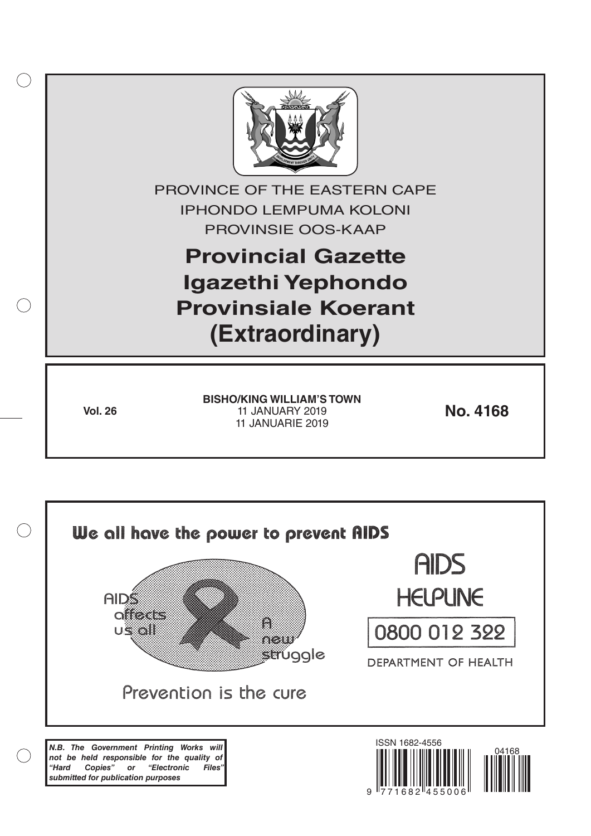

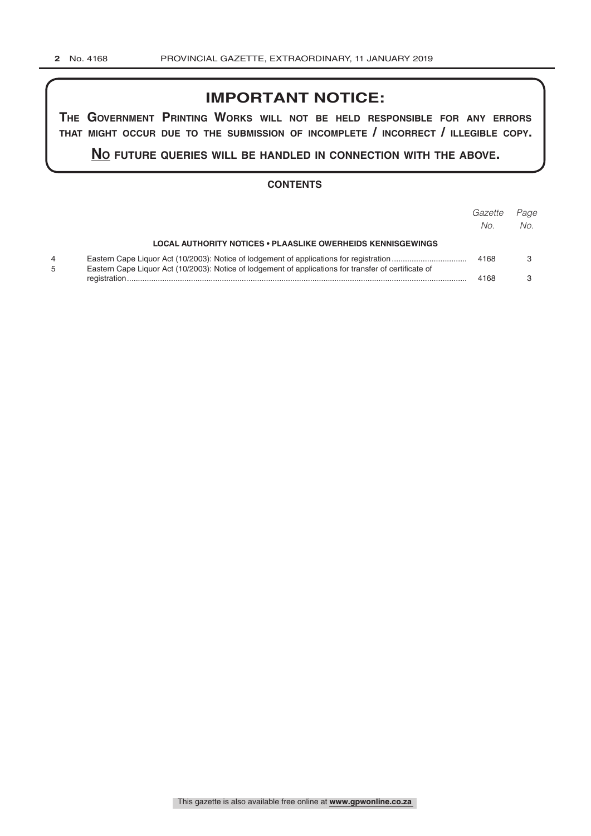## **IMPORTANT NOTICE:**

**The GovernmenT PrinTinG Works Will noT be held resPonsible for any errors ThaT miGhT occur due To The submission of incomPleTe / incorrecT / illeGible coPy.**

**no fuTure queries Will be handled in connecTion WiTh The above.**

#### **CONTENTS**

|                                                                                                       | Gazette<br>No. | Paae<br>No. |
|-------------------------------------------------------------------------------------------------------|----------------|-------------|
| <b>LOCAL AUTHORITY NOTICES • PLAASLIKE OWERHEIDS KENNISGEWINGS</b>                                    |                |             |
| Eastern Cape Liquor Act (10/2003): Notice of lodgement of applications for transfer of certificate of | 4168           |             |
|                                                                                                       | 4168           |             |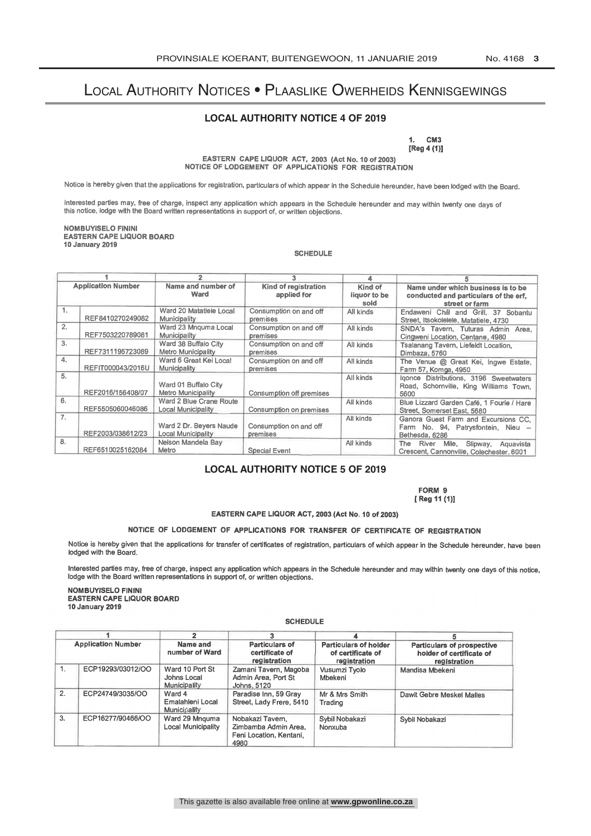# Local Authority Notices • Plaaslike Owerheids Kennisgewings

#### **LOCAL AUTHORITY NOTICE 4 OF 2019**

1. CM3  $[Reg 4 (1)]$ EASTERN CAPE LIQUOR ACT, 2003 (Act No. 10 of 2003) NOTICE OF LODGEMENT OF APPLICATIONS FOR REGISTRATION

Notice is hereby given that the applications for registration, particulars of which appear in the Schedule hereunder, have been lodged with the Board.

Interested parties may, free of charge, inspect any application which appears in the Schedule hereunder and may within twenty one days of this notice, lodge with the Board written representations in support of, or written objections.

NOMBUYISELO FININI EASTERN CAPE LIQUOR BOARD 10 January 2019

**SCHEDULE** 

|                           |                   | 4                                                 |                                           |                                 |                                                                                               |  |
|---------------------------|-------------------|---------------------------------------------------|-------------------------------------------|---------------------------------|-----------------------------------------------------------------------------------------------|--|
| <b>Application Number</b> |                   | Name and number of<br>Ward                        | Kind of registration<br>applied for       | Kind of<br>liquor to be<br>sold | Name under which business is to be<br>conducted and particulars of the erf.<br>street or farm |  |
| $\overline{1}$ .          | REF8410270249082  | Ward 20 Matatiele Local<br>Municipality           | Consumption on and off<br>premises        | All kinds                       | Endaweni Chill and Grill, 37 Sobantu<br>Street, Itsokolelele, Matatiele, 4730                 |  |
| 2.                        | REF7503220789081  | Ward 23 Mnguma Local<br>Municipality              | Consumption on and off<br><b>Premises</b> | All kinds                       | SNDA's Tavern, Tuturas Admin Area.<br>Cingweni Location, Centane, 4980                        |  |
| 3.                        | REF7311195723089  | Ward 38 Buffalo City<br>Metro Municipality        | Consumption on and off<br><b>Premises</b> | All kinds                       | Tsalanang Tavern, Liefeldt Location.<br>Dimbaza, 5760                                         |  |
| 4.                        | REFIT000043/2016U | Ward 6 Great Kei Local<br>Municipality            | Consumption on and off<br><b>Premises</b> | All kinds                       | The Venue @ Great Kei, Ingwe Estate,<br>Farm 57, Komga, 4950                                  |  |
| 5.                        | REF2016/156408/07 | Ward 01 Buffalo City<br><b>Metro Municipality</b> | Consumption off premises                  | All kinds                       | Igonce Distributions, 3196 Sweetwaters<br>Road, Schornville, King Williams Town.<br>5600      |  |
| 6.                        | REF5505060046086  | Ward 2 Blue Crane Route<br>Local Municipality     | Consumption on premises                   | All kinds                       | Blue Lizzard Garden Café, 1 Fourie / Hare<br>Street, Somerset East, 5680                      |  |
| 7.                        | REF2003/038612/23 | Ward 2 Dr. Beyers Naude<br>Local Municipality     | Consumption on and off<br><b>Premises</b> | All kinds                       | Ganora Guest Farm and Excursions CC.<br>Farm No. 94, Patrysfontein, Nieu -<br>Bethesda, 6286  |  |
| 8.                        | REF6510025162084  | Nelson Mandela Bay<br>Metro                       | <b>Special Event</b>                      | All kinds                       | Mile,<br>Slipway,<br>River<br>The<br>Aquavista<br>Crescent, Cannonville, Colechester, 6001    |  |

### **LOCAL AUTHORITY NOTICE 5 OF 2019**

FORM 9 [ Reg 11 (1)]

EASTERN CAPE LIQUOR ACT, 2003 (Act No. 10 of 2003)

#### NOTICE OF LODGEMENT OF APPLICATIONS FOR TRANSFER OF CERTIFICATE OF REGISTRATION

Notice is hereby given that the applications for transfer of certificates of registration, particulars of which appear in the Schedule hereunder, have been lodged with the Board.

Interested parties may, free of charge, inspect any application which appears in the Schedule hereunder and may within twenty one days of this notice, lodge with the Board written representations in support of, or written objections.

NOMBUYISELO FININI EASTERN CAPE LIQUOR BOARD 10 January 2019

| <b>Application Number</b> |                   |                                                                                       |                                                                            |                                                                   |                                                                        |
|---------------------------|-------------------|---------------------------------------------------------------------------------------|----------------------------------------------------------------------------|-------------------------------------------------------------------|------------------------------------------------------------------------|
|                           |                   | Name and<br><b>Particulars of</b><br>number of Ward<br>certificate of<br>registration |                                                                            | <b>Particulars of holder</b><br>of certificate of<br>registration | Particulars of prospective<br>holder of certificate of<br>registration |
| 1.                        | ECP19293/03012/OO | Ward 10 Port St<br>Johns Local<br>Municipality                                        | Zamani Tavern, Magoba<br>Admin Area, Port St<br>Johns, 5120                | Vusumzi Tvolo<br>Mbekeni                                          | Mandisa Mbekeni                                                        |
| 2.                        | ECP24749/3035/OO  | Ward 4<br>Emalahleni Local<br>Municipality                                            | Paradise Inn, 59 Gray<br>Street, Lady Frere, 5410                          | Mr & Mrs Smith<br>Trading                                         | Dawit Gebre Meskel Malles                                              |
| 3.                        | ECP16277/90466/OO | Ward 29 Mnguma<br>Local Municipality                                                  | Nobakazi Tavem,<br>Zimbamba Admin Area.<br>Feni Location, Kentani.<br>4980 | Sybil Nobakazi<br>Nonxuba                                         | Sybil Nobakazi                                                         |

#### **SCHEDULE**